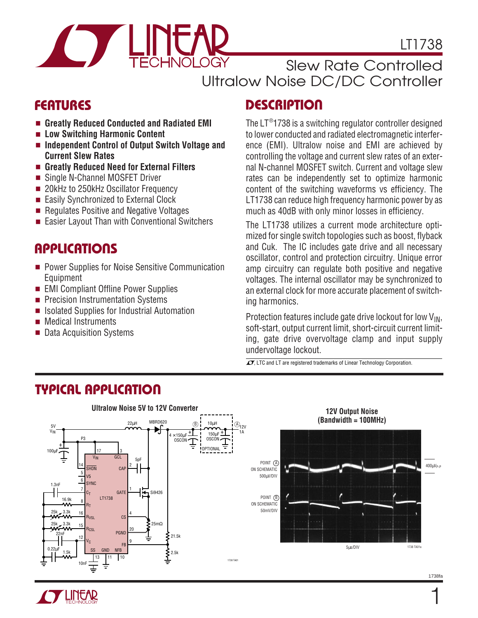

LT1738

1

Slew Rate Controlled Ultralow Noise DC/DC Controller

### **FEATURES**

- **Greatly Reduced Conducted and Radiated EMI**
- Low Switching Harmonic Content
- **Independent Control of Output Switch Voltage and Current Slew Rates**
- **Greatly Reduced Need for External Filters**
- Single N-Channel MOSFET Driver
- 20kHz to 250kHz Oscillator Frequency
- Easily Synchronized to External Clock
- Regulates Positive and Negative Voltages
- Easier Layout Than with Conventional Switchers

### **APPLICATIONS**

- Power Supplies for Noise Sensitive Communication Equipment
- EMI Compliant Offline Power Supplies
- Precision Instrumentation Systems
- Isolated Supplies for Industrial Automation
- Medical Instruments
- Data Acquisition Systems

# **DESCRIPTION**

The LT®1738 is a switching regulator controller designed to lower conducted and radiated electromagnetic interference (EMI). Ultralow noise and EMI are achieved by controlling the voltage and current slew rates of an external N-channel MOSFET switch. Current and voltage slew rates can be independently set to optimize harmonic content of the switching waveforms vs efficiency. The LT1738 can reduce high frequency harmonic power by as much as 40dB with only minor losses in efficiency.

The LT1738 utilizes a current mode architecture optimized for single switch topologies such as boost, flyback and Cuk. The IC includes gate drive and all necessary oscillator, control and protection circuitry. Unique error amp circuitry can regulate both positive and negative voltages. The internal oscillator may be synchronized to an external clock for more accurate placement of switching harmonics.

Protection features include gate drive lockout for low  $V_{IN}$ , soft-start, output current limit, short-circuit current limiting, gate drive overvoltage clamp and input supply undervoltage lockout.

 $\overline{\mathcal{L}}$ , LTC and LT are registered trademarks of Linear Technology Corporation.

### **TYPICAL APPLICATIO U**



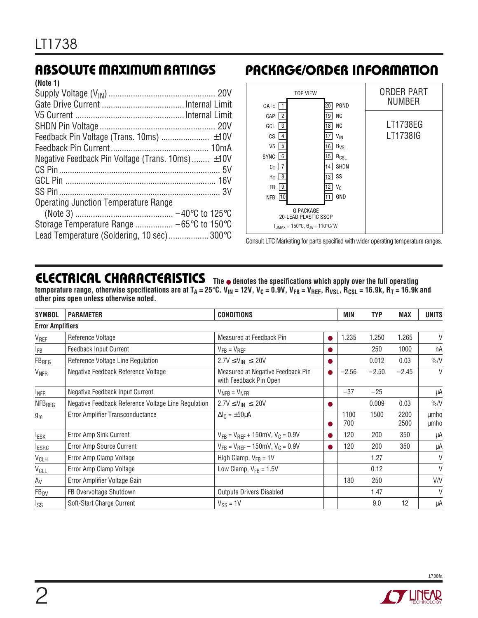| (Note 1)                                              |  |
|-------------------------------------------------------|--|
|                                                       |  |
|                                                       |  |
|                                                       |  |
|                                                       |  |
|                                                       |  |
|                                                       |  |
| Negative Feedback Pin Voltage (Trans. 10ms) $\pm$ 10V |  |
|                                                       |  |
|                                                       |  |
|                                                       |  |
| <b>Operating Junction Temperature Range</b>           |  |
|                                                       |  |
|                                                       |  |
| Lead Temperature (Soldering, 10 sec) 300°C            |  |
|                                                       |  |

# **ABSOLUTE MAXIMUM RATINGS PACKAGE/ORDER INFORMATION**



Consult LTC Marketing for parts specified with wider operating temperature ranges.

### **ELECTRICAL CHARACTERISTICS The** ● **denotes the specifications which apply over the full operating**

temperature range, otherwise specifications are at T<sub>A</sub> = 25°C. V<sub>IN</sub> = 12V, V<sub>C</sub> = 0.9V, V<sub>FB</sub> = V<sub>REF</sub>, R<sub>VSL</sub>, R<sub>CSL</sub> = 16.9k, R<sub>T</sub> = 16.9k and **other pins open unless otherwise noted.**

| <b>SYMBOL</b>            | <b>PARAMETER</b>                                    | <b>CONDITIONS</b>                                           |           | MIN         | <b>TYP</b> | <b>MAX</b>   | <b>UNITS</b>               |
|--------------------------|-----------------------------------------------------|-------------------------------------------------------------|-----------|-------------|------------|--------------|----------------------------|
|                          | <b>Error Amplifiers</b>                             |                                                             |           |             |            |              |                            |
| VREF                     | Reference Voltage                                   | Measured at Feedback Pin                                    | $\bullet$ | 1.235       | 1.250      | 1.265        | V                          |
| <b>IFB</b>               | Feedback Input Current                              | $V_{FB} = V_{REF}$                                          |           |             | 250        | 1000         | nA                         |
| $FB_{REG}$               | Reference Voltage Line Regulation                   | $2.7V \le V_{IN} \le 20V$                                   | $\bullet$ |             | 0.012      | 0.03         | $\%N$                      |
| <b>V<sub>NFR</sub></b>   | Negative Feedback Reference Voltage                 | Measured at Negative Feedback Pin<br>with Feedback Pin Open | $\bullet$ | $-2.56$     | $-2.50$    | $-2.45$      | $\vee$                     |
| <b>INFR</b>              | Negative Feedback Input Current                     | $V_{NFB} = V_{NFR}$                                         |           | $-37$       | $-25$      |              | μA                         |
| <b>NFB<sub>REG</sub></b> | Negative Feedback Reference Voltage Line Regulation | $2.7V \le V_{IN} \le 20V$                                   | $\bullet$ |             | 0.009      | 0.03         | $\%N$                      |
| $g_m$                    | Error Amplifier Transconductance                    | $\Delta I_C = \pm 50 \mu A$                                 |           | 1100<br>700 | 1500       | 2200<br>2500 | <b>umho</b><br><b>umho</b> |
| <b>IESK</b>              | Error Amp Sink Current                              | $V_{FB} = V_{REF} + 150$ mV, $V_C = 0.9V$                   |           | 120         | 200        | 350          | μA                         |
| <b>IESRC</b>             | Error Amp Source Current                            | $V_{FB} = V_{REF} - 150$ mV, $V_C = 0.9V$                   | $\bullet$ | 120         | 200        | 350          | μA                         |
| <b>V<sub>CLH</sub></b>   | Error Amp Clamp Voltage                             | High Clamp, $V_{FB} = 1V$                                   |           |             | 1.27       |              | V                          |
| <b>V<sub>CLL</sub></b>   | Error Amp Clamp Voltage                             | Low Clamp, $V_{FB} = 1.5V$                                  |           |             | 0.12       |              | V                          |
| $A_V$                    | Error Amplifier Voltage Gain                        |                                                             |           | 180         | 250        |              | V/V                        |
| FB <sub>OV</sub>         | FB Overvoltage Shutdown                             | <b>Outputs Drivers Disabled</b>                             |           |             | 1.47       |              | V                          |
| Iss                      | Soft-Start Charge Current                           | $V_{SS} = 1V$                                               |           |             | 9.0        | 12           | μA                         |

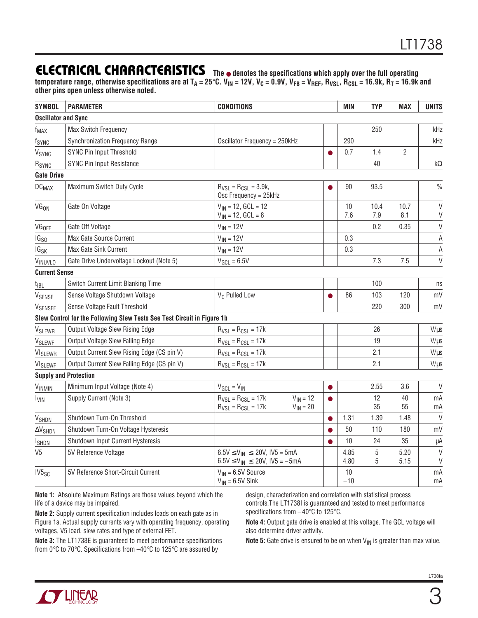### **ELECTRICAL CHARACTERISTICS The** ● **denotes the specifications which apply over the full operating**

temperature range, otherwise specifications are at T<sub>A</sub> = 25°C. V<sub>IN</sub> = 12V, V<sub>C</sub> = 0.9V, V<sub>FB</sub> = V<sub>REF</sub>, R<sub>VSL</sub>, R<sub>CSL</sub> = 16.9k, R<sub>T</sub> = 16.9k and **other pins open unless otherwise noted.**

| <b>SYMBOL</b>              | <b>PARAMETER</b>                                                        | <b>CONDITIONS</b>                                                                            | <b>MIN</b>        | <b>TYP</b>      | <b>MAX</b>     | <b>UNITS</b>      |
|----------------------------|-------------------------------------------------------------------------|----------------------------------------------------------------------------------------------|-------------------|-----------------|----------------|-------------------|
| <b>Oscillator and Sync</b> |                                                                         |                                                                                              |                   |                 |                |                   |
| f <sub>MAX</sub>           | Max Switch Frequency                                                    |                                                                                              |                   | 250             |                | kHz               |
| fsync                      | Synchronization Frequency Range                                         | Oscillator Frequency = 250kHz                                                                | 290               |                 |                | kHz               |
| VSYNC                      | SYNC Pin Input Threshold                                                |                                                                                              | 0.7               | 1.4             | $\overline{c}$ |                   |
| R <sub>SYNC</sub>          | SYNC Pin Input Resistance                                               |                                                                                              |                   | 40              |                | $k\Omega$         |
| <b>Gate Drive</b>          |                                                                         |                                                                                              |                   |                 |                |                   |
| <b>DC<sub>MAX</sub></b>    | Maximum Switch Duty Cycle                                               | $R_{VSL}$ = $R_{CSL}$ = 3.9k,<br>Osc Frequency = 25kHz                                       | 90                | 93.5            |                | $\frac{0}{0}$     |
| <b>VGON</b>                | Gate On Voltage                                                         | $V_{IN}$ = 12, GCL = 12<br>$V_{IN}$ = 12, GCL = 8                                            | 10<br>7.6         | 10.4<br>7.9     | 10.7<br>8.1    | $\mathsf{V}$<br>V |
| <b>VGOFF</b>               | Gate Off Voltage                                                        | $V_{IN} = 12V$                                                                               |                   | 0.2             | 0.35           | $\vee$            |
| IG <sub>SO</sub>           | Max Gate Source Current                                                 | $V_{IN} = 12V$                                                                               | 0.3               |                 |                | Α                 |
| <b>IG<sub>SK</sub></b>     | Max Gate Sink Current                                                   | $V_{IN} = 12V$                                                                               | 0.3               |                 |                | A                 |
| VINUVLO                    | Gate Drive Undervoltage Lockout (Note 5)                                | $V_{GCL} = 6.5V$                                                                             |                   | 7.3             | 7.5            | $\vee$            |
| <b>Current Sense</b>       |                                                                         |                                                                                              |                   |                 |                |                   |
| t <sub>IBL</sub>           | Switch Current Limit Blanking Time                                      |                                                                                              |                   | 100             |                | ns                |
| VSENSE                     | Sense Voltage Shutdown Voltage                                          | V <sub>C</sub> Pulled Low                                                                    | 86<br>$\bullet$   | 103             | 120            | mV                |
| <b>VSENSEF</b>             | Sense Voltage Fault Threshold                                           |                                                                                              |                   | 220             | 300            | mV                |
|                            | Slew Control for the Following Slew Tests See Test Circuit in Figure 1b |                                                                                              |                   |                 |                |                   |
| V <sub>SLEWR</sub>         | Output Voltage Slew Rising Edge                                         | $R_{VSL}$ = $R_{CSL}$ = 17k                                                                  |                   | 26              |                | $V/\mu s$         |
| V <sub>SLEWF</sub>         | Output Voltage Slew Falling Edge                                        | $R_{VSL}$ = $R_{CSL}$ = 17k                                                                  |                   | 19              |                | $V/\mu s$         |
| VI <sub>SLEWR</sub>        | Output Current Slew Rising Edge (CS pin V)                              | $R_{VSL}$ = $R_{CSL}$ = 17k                                                                  |                   | 2.1             |                | $V/\mu s$         |
| VI <sub>SLEWF</sub>        | Output Current Slew Falling Edge (CS pin V)                             | $R_{VSL}$ = $R_{CSL}$ = 17k                                                                  |                   | 2.1             |                | $V/\mu s$         |
|                            | <b>Supply and Protection</b>                                            |                                                                                              |                   |                 |                |                   |
| VINMIN                     | Minimum Input Voltage (Note 4)                                          | $V_{GCL} = V_{IN}$                                                                           | $\bullet$         | 2.55            | 3.6            | V                 |
| <b>I<sub>VIN</sub></b>     | Supply Current (Note 3)                                                 | $R_{VSL}$ = $R_{CSL}$ = 17k<br>$V_{IN} = 12$<br>$V_{IN} = 20$<br>$R_{VSL}$ = $R_{CSL}$ = 17k | $\bullet$         | 12<br>35        | 40<br>55       | mA<br>mA          |
| V <sub>SHDN</sub>          | Shutdown Turn-On Threshold                                              |                                                                                              | 1.31<br>$\bullet$ | 1.39            | 1.48           | $\vee$            |
| $\Delta V$ SHDN            | Shutdown Turn-On Voltage Hysteresis                                     |                                                                                              | 50<br>●           | 110             | 180            | mV                |
| <b>I</b> SHDN              | Shutdown Input Current Hysteresis                                       |                                                                                              | 10<br>$\bullet$   | 24              | 35             | μA                |
| V <sub>5</sub>             | 5V Reference Voltage                                                    | $6.5V \le V_{IN} \le 20V$ , IV5 = 5mA<br>$6.5V \le V_{IN} \le 20V$ , $IV5 = -5mA$            | 4.85<br>4.80      | $\sqrt{5}$<br>5 | 5.20<br>5.15   | $\vee$<br>$\vee$  |
| $IV5_{SC}$                 | 5V Reference Short-Circuit Current                                      | $V_{IN} = 6.5V$ Source<br>$V_{IN}$ = 6.5V Sink                                               | 10<br>$-10$       |                 |                | mA<br>mA          |

**Note 1:** Absolute Maximum Ratings are those values beyond which the life of a device may be impaired.

**Note 2:** Supply current specification includes loads on each gate as in Figure 1a. Actual supply currents vary with operating frequency, operating voltages, V5 load, slew rates and type of external FET.

**Note 3:** The LT1738E is guaranteed to meet performance specifications from 0°C to 70°C. Specifications from –40°C to 125°C are assured by

design, characterization and correlation with statistical process controls.The LT1738I is guaranteed and tested to meet performance specifications from  $-40^{\circ}$ C to 125°C.

**Note 4:** Output gate drive is enabled at this voltage. The GCL voltage will also determine driver activity.

**Note 5:** Gate drive is ensured to be on when  $V_{\text{IN}}$  is greater than max value.



17381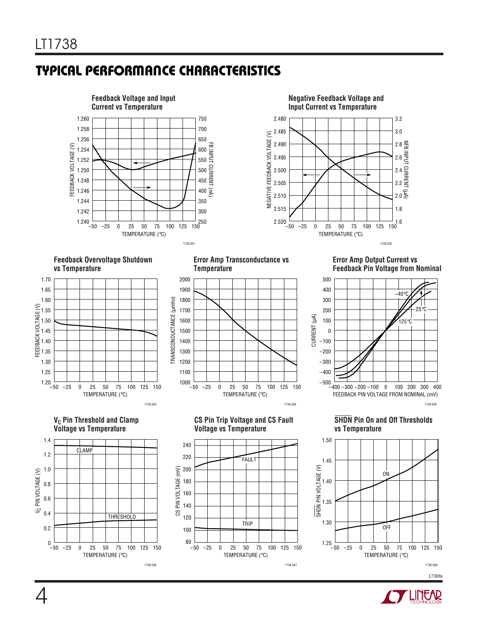# **TYPICAL PERFORMANCE CHARACTERISTICS**





#### **Feedback Overvoltage Shutdown vs Temperature**



#### **V<sub>C</sub>** Pin Threshold and Clamp **Voltage vs Temperature**



#### **Error Amp Transconductance vs Temperature**



**CS Pin Trip Voltage and CS Fault Voltage vs Temperature**



#### **Error Amp Output Current vs Feedback Pin Voltage from Nominal**



**SHDN Pin On and Off Thresholds vs Temperature**



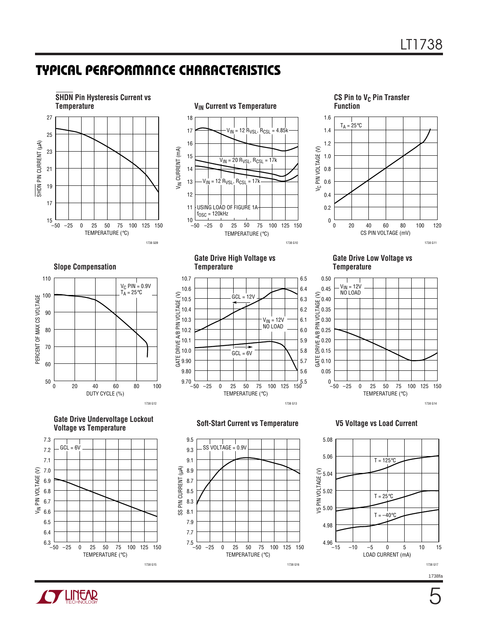### **TYPICAL PERFORMANCE CHARACTERISTICS**



**TLINEAR**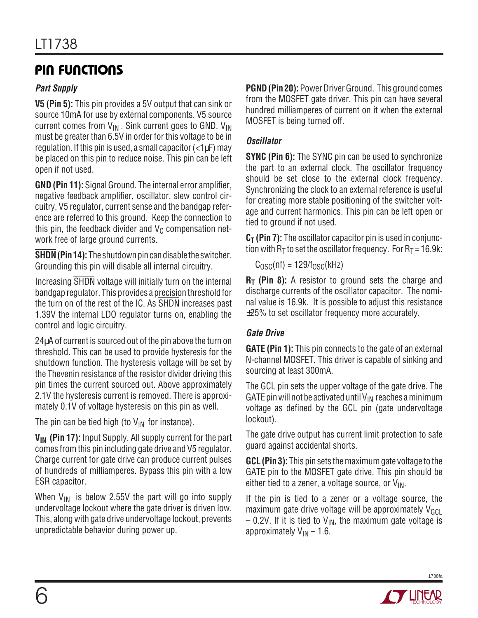### **PIN FUNCTIONS**

#### **Part Supply**

**V5 (Pin 5):** This pin provides a 5V output that can sink or source 10mA for use by external components. V5 source current comes from  $V_{IN}$ . Sink current goes to GND.  $V_{IN}$ must be greater than 6.5V in order for this voltage to be in regulation. If this pin is used, a small capacitor  $\left\langle \langle 1 \mu \mathbf{F} \rangle \right\rangle$  may be placed on this pin to reduce noise. This pin can be left open if not used.

**GND (Pin 11):** Signal Ground. The internal error amplifier, negative feedback amplifier, oscillator, slew control circuitry, V5 regulator, current sense and the bandgap reference are referred to this ground. Keep the connection to this pin, the feedback divider and  $V_C$  compensation network free of large ground currents.

**SHDN (Pin 14):** The shutdown pin can disable the switcher. Grounding this pin will disable all internal circuitry.

Increasing SHDN voltage will initially turn on the internal bandgap regulator. This provides a precision threshold for the turn on of the rest of the IC. As SHDN increases past 1.39V the internal LDO regulator turns on, enabling the control and logic circuitry.

24µA of current is sourced out of the pin above the turn on threshold. This can be used to provide hysteresis for the shutdown function. The hysteresis voltage will be set by the Thevenin resistance of the resistor divider driving this pin times the current sourced out. Above approximately 2.1V the hysteresis current is removed. There is approximately 0.1V of voltage hysteresis on this pin as well.

The pin can be tied high (to  $V_{IN}$  for instance).

**VIN (Pin 17):** Input Supply. All supply current for the part comes from this pin including gate drive and V5 regulator. Charge current for gate drive can produce current pulses of hundreds of milliamperes. Bypass this pin with a low ESR capacitor.

When  $V_{\text{IN}}$  is below 2.55V the part will go into supply undervoltage lockout where the gate driver is driven low. This, along with gate drive undervoltage lockout, prevents unpredictable behavior during power up.

**PGND (Pin 20):** Power Driver Ground. This ground comes from the MOSFET gate driver. This pin can have several hundred milliamperes of current on it when the external MOSFET is being turned off.

#### **Oscillator**

**SYNC (Pin 6):** The SYNC pin can be used to synchronize the part to an external clock. The oscillator frequency should be set close to the external clock frequency. Synchronizing the clock to an external reference is useful for creating more stable positioning of the switcher voltage and current harmonics. This pin can be left open or tied to ground if not used.

**CT (Pin 7):** The oscillator capacitor pin is used in conjunction with  $R_T$  to set the oscillator frequency. For  $R_T = 16.9k$ :

 $C<sub>OSC</sub>(nf) = 129/f<sub>OSC</sub>(kHz)$ 

**R<sub>T</sub>** (Pin 8): A resistor to ground sets the charge and discharge currents of the oscillator capacitor. The nominal value is 16.9k. It is possible to adjust this resistance ±25% to set oscillator frequency more accurately.

#### **Gate Drive**

**GATE (Pin 1):** This pin connects to the gate of an external N-channel MOSFET. This driver is capable of sinking and sourcing at least 300mA.

The GCL pin sets the upper voltage of the gate drive. The GATE pin will not be activated until  $V_{IN}$  reaches a minimum voltage as defined by the GCL pin (gate undervoltage lockout).

The gate drive output has current limit protection to safe guard against accidental shorts.

**GCL (Pin 3):** This pin sets the maximum gate voltage to the GATE pin to the MOSFET gate drive. This pin should be either tied to a zener, a voltage source, or  $V_{IN}$ .

If the pin is tied to a zener or a voltage source, the maximum gate drive voltage will be approximately  $V_{GCL}$  $-$  0.2V. If it is tied to V<sub>IN</sub>, the maximum gate voltage is approximately  $V_{IN}$  – 1.6.

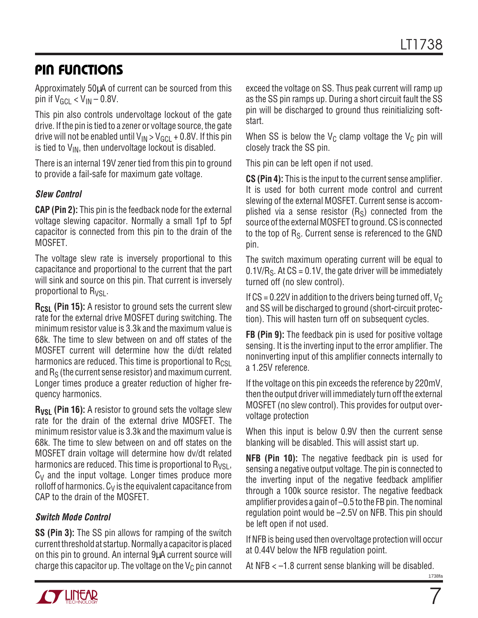### **PIN FUNCTIONS**

Approximately 50µA of current can be sourced from this pin if  $V_{GCI} < V_{IN} - 0.8V$ .

This pin also controls undervoltage lockout of the gate drive. If the pin is tied to a zener or voltage source, the gate drive will not be enabled until  $V_{IN} > V_{GCL} + 0.8V$ . If this pin is tied to  $V_{IN}$ , then undervoltage lockout is disabled.

There is an internal 19V zener tied from this pin to ground to provide a fail-safe for maximum gate voltage.

#### **Slew Control**

**CAP (Pin 2):** This pin is the feedback node for the external voltage slewing capacitor. Normally a small 1pf to 5pf capacitor is connected from this pin to the drain of the MOSFET.

The voltage slew rate is inversely proportional to this capacitance and proportional to the current that the part will sink and source on this pin. That current is inversely proportional to  $R_{VSI}$ .

**R<sub>CSL</sub>** (Pin 15): A resistor to ground sets the current slew rate for the external drive MOSFET during switching. The minimum resistor value is 3.3k and the maximum value is 68k. The time to slew between on and off states of the MOSFET current will determine how the di/dt related harmonics are reduced. This time is proportional to  $R_{CSL}$ and  $R<sub>S</sub>$  (the current sense resistor) and maximum current. Longer times produce a greater reduction of higher frequency harmonics.

**R<sub>VSL</sub>** (Pin 16): A resistor to ground sets the voltage slew rate for the drain of the external drive MOSFET. The minimum resistor value is 3.3k and the maximum value is 68k. The time to slew between on and off states on the MOSFET drain voltage will determine how dv/dt related harmonics are reduced. This time is proportional to  $R_{V\text{S}}$ ,  $C_V$  and the input voltage. Longer times produce more rolloff of harmonics.  $C_V$  is the equivalent capacitance from CAP to the drain of the MOSFET.

#### **Switch Mode Control**

**SS (Pin 3):** The SS pin allows for ramping of the switch current threshold at startup. Normally a capacitor is placed on this pin to ground. An internal 9µA current source will charge this capacitor up. The voltage on the  $V_C$  pin cannot exceed the voltage on SS. Thus peak current will ramp up as the SS pin ramps up. During a short circuit fault the SS pin will be discharged to ground thus reinitializing softstart.

When SS is below the  $V_c$  clamp voltage the  $V_c$  pin will closely track the SS pin.

This pin can be left open if not used.

**CS (Pin 4):** This is the input to the current sense amplifier. It is used for both current mode control and current slewing of the external MOSFET. Current sense is accomplished via a sense resistor  $(R<sub>S</sub>)$  connected from the source of the external MOSFET to ground. CS is connected to the top of  $R<sub>S</sub>$ . Current sense is referenced to the GND pin.

The switch maximum operating current will be equal to  $0.1$ V/R<sub>S</sub>. At CS = 0.1V, the gate driver will be immediately turned off (no slew control).

If  $CS = 0.22V$  in addition to the drivers being turned off,  $V_C$ and SS will be discharged to ground (short-circuit protection). This will hasten turn off on subsequent cycles.

**FB (Pin 9):** The feedback pin is used for positive voltage sensing. It is the inverting input to the error amplifier. The noninverting input of this amplifier connects internally to a 1.25V reference.

If the voltage on this pin exceeds the reference by 220mV, then the output driver will immediately turn off the external MOSFET (no slew control). This provides for output overvoltage protection

When this input is below 0.9V then the current sense blanking will be disabled. This will assist start up.

**NFB (Pin 10):** The negative feedback pin is used for sensing a negative output voltage. The pin is connected to the inverting input of the negative feedback amplifier through a 100k source resistor. The negative feedback amplifier provides a gain of –0.5 to the FB pin. The nominal regulation point would be –2.5V on NFB. This pin should be left open if not used.

If NFB is being used then overvoltage protection will occur at 0.44V below the NFB regulation point.

At NFB < –1.8 current sense blanking will be disabled.

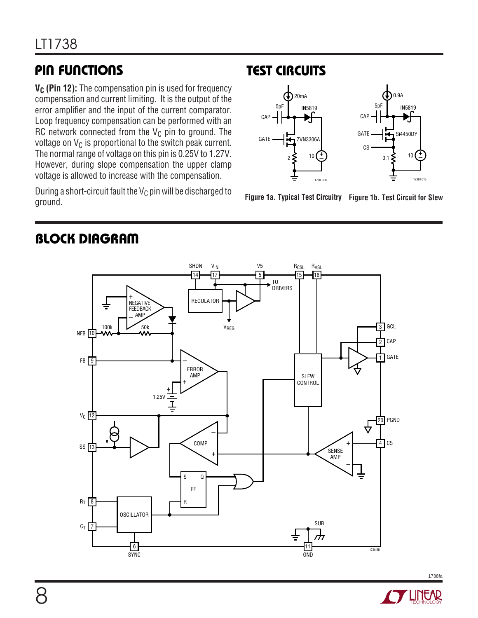# **PIN FUNCTIONS**

V<sub>C</sub> (Pin 12): The compensation pin is used for frequency compensation and current limiting. It is the output of the error amplifier and the input of the current comparator. Loop frequency compensation can be performed with an RC network connected from the  $V_C$  pin to ground. The voltage on  $V_c$  is proportional to the switch peak current. The normal range of voltage on this pin is 0.25V to 1.27V. However, during slope compensation the upper clamp voltage is allowed to increase with the compensation.

During a short-circuit fault the  $V_C$  pin will be discharged to ground.

# **TEST CIRCUITS**



**Figure 1a. Typical Test Circuitry Figure 1b. Test Circuit for Slew**

# **BLOCK DIAGRAM**

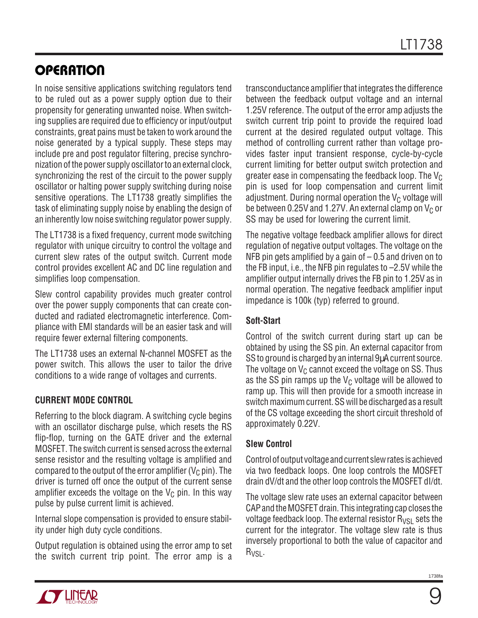# **OPERATION**

In noise sensitive applications switching regulators tend to be ruled out as a power supply option due to their propensity for generating unwanted noise. When switching supplies are required due to efficiency or input/output constraints, great pains must be taken to work around the noise generated by a typical supply. These steps may include pre and post regulator filtering, precise synchronization of the power supply oscillator to an external clock, synchronizing the rest of the circuit to the power supply oscillator or halting power supply switching during noise sensitive operations. The LT1738 greatly simplifies the task of eliminating supply noise by enabling the design of an inherently low noise switching regulator power supply.

The LT1738 is a fixed frequency, current mode switching regulator with unique circuitry to control the voltage and current slew rates of the output switch. Current mode control provides excellent AC and DC line regulation and simplifies loop compensation.

Slew control capability provides much greater control over the power supply components that can create conducted and radiated electromagnetic interference. Compliance with EMI standards will be an easier task and will require fewer external filtering components.

The LT1738 uses an external N-channel MOSFET as the power switch. This allows the user to tailor the drive conditions to a wide range of voltages and currents.

#### **CURRENT MODE CONTROL**

Referring to the block diagram. A switching cycle begins with an oscillator discharge pulse, which resets the RS flip-flop, turning on the GATE driver and the external MOSFET. The switch current is sensed across the external sense resistor and the resulting voltage is amplified and compared to the output of the error amplifier ( $V_C$  pin). The driver is turned off once the output of the current sense amplifier exceeds the voltage on the  $V_C$  pin. In this way pulse by pulse current limit is achieved.

Internal slope compensation is provided to ensure stability under high duty cycle conditions.

Output regulation is obtained using the error amp to set the switch current trip point. The error amp is a

transconductance amplifier that integrates the difference between the feedback output voltage and an internal 1.25V reference. The output of the error amp adjusts the switch current trip point to provide the required load current at the desired regulated output voltage. This method of controlling current rather than voltage provides faster input transient response, cycle-by-cycle current limiting for better output switch protection and greater ease in compensating the feedback loop. The  $V_C$ pin is used for loop compensation and current limit adjustment. During normal operation the  $V_C$  voltage will be between 0.25V and 1.27V. An external clamp on  $V_C$  or SS may be used for lowering the current limit.

The negative voltage feedback amplifier allows for direct regulation of negative output voltages. The voltage on the NFB pin gets amplified by a gain of  $-0.5$  and driven on to the FB input, i.e., the NFB pin regulates to –2.5V while the amplifier output internally drives the FB pin to 1.25V as in normal operation. The negative feedback amplifier input impedance is 100k (typ) referred to ground.

#### **Soft-Start**

Control of the switch current during start up can be obtained by using the SS pin. An external capacitor from SS to ground is charged by an internal  $9\mu$ A current source. The voltage on  $V_C$  cannot exceed the voltage on SS. Thus as the SS pin ramps up the  $V_C$  voltage will be allowed to ramp up. This will then provide for a smooth increase in switch maximum current. SS will be discharged as a result of the CS voltage exceeding the short circuit threshold of approximately 0.22V.

#### **Slew Control**

Control of output voltage and current slew rates is achieved via two feedback loops. One loop controls the MOSFET drain dV/dt and the other loop controls the MOSFET dI/dt.

The voltage slew rate uses an external capacitor between CAP and the MOSFET drain. This integrating cap closes the voltage feedback loop. The external resistor  $R_{VS}$  sets the current for the integrator. The voltage slew rate is thus inversely proportional to both the value of capacitor and R<sub>VSL</sub>.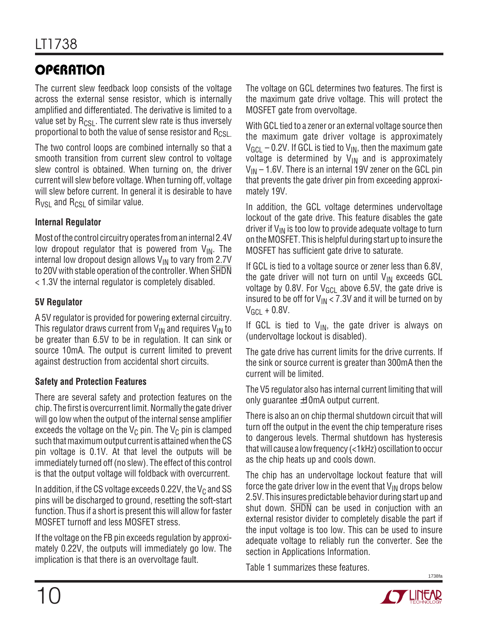# **OPERATION**

The current slew feedback loop consists of the voltage across the external sense resistor, which is internally amplified and differentiated. The derivative is limited to a value set by  $R_{CSL}$ . The current slew rate is thus inversely proportional to both the value of sense resistor and  $R_{CSL}$ .

The two control loops are combined internally so that a smooth transition from current slew control to voltage slew control is obtained. When turning on, the driver current will slew before voltage. When turning off, voltage will slew before current. In general it is desirable to have  $R_{VSI}$  and  $R_{CSI}$  of similar value.

#### **Internal Regulator**

Most of the control circuitry operates from an internal 2.4V low dropout regulator that is powered from  $V_{IN}$ . The internal low dropout design allows  $V_{\text{IN}}$  to vary from 2.7V to 20V with stable operation of the controller. When SHDN < 1.3V the internal regulator is completely disabled.

#### **5V Regulator**

A 5V regulator is provided for powering external circuitry. This regulator draws current from  $V_{IN}$  and requires  $V_{IN}$  to be greater than 6.5V to be in regulation. It can sink or source 10mA. The output is current limited to prevent against destruction from accidental short circuits.

#### **Safety and Protection Features**

There are several safety and protection features on the chip. The first is overcurrent limit. Normally the gate driver will go low when the output of the internal sense amplifier exceeds the voltage on the  $V_C$  pin. The  $V_C$  pin is clamped such that maximum output current is attained when the CS pin voltage is 0.1V. At that level the outputs will be immediately turned off (no slew). The effect of this control is that the output voltage will foldback with overcurrent.

In addition, if the CS voltage exceeds 0.22V, the  $V_C$  and SS pins will be discharged to ground, resetting the soft-start function. Thus if a short is present this will allow for faster MOSFET turnoff and less MOSFET stress.

If the voltage on the FB pin exceeds regulation by approximately 0.22V, the outputs will immediately go low. The implication is that there is an overvoltage fault.

The voltage on GCL determines two features. The first is the maximum gate drive voltage. This will protect the MOSFET gate from overvoltage.

With GCL tied to a zener or an external voltage source then the maximum gate driver voltage is approximately  $V_{\text{GCl}}$  – 0.2V. If GCL is tied to  $V_{\text{IN}}$ , then the maximum gate voltage is determined by  $V_{IN}$  and is approximately  $V_{IN}$  – 1.6V. There is an internal 19V zener on the GCL pin that prevents the gate driver pin from exceeding approximately 19V.

In addition, the GCL voltage determines undervoltage lockout of the gate drive. This feature disables the gate driver if  $V_{IN}$  is too low to provide adequate voltage to turn on the MOSFET. This is helpful during start up to insure the MOSFET has sufficient gate drive to saturate.

If GCL is tied to a voltage source or zener less than 6.8V, the gate driver will not turn on until  $V_{IN}$  exceeds GCL voltage by 0.8V. For  $V_{GCL}$  above 6.5V, the gate drive is insured to be off for  $V_{IN}$  < 7.3V and it will be turned on by  $V_{GCl}$  + 0.8V.

If GCL is tied to  $V_{IN}$ , the gate driver is always on (undervoltage lockout is disabled).

The gate drive has current limits for the drive currents. If the sink or source current is greater than 300mA then the current will be limited.

The V5 regulator also has internal current limiting that will only guarantee ±10mA output current.

There is also an on chip thermal shutdown circuit that will turn off the output in the event the chip temperature rises to dangerous levels. Thermal shutdown has hysteresis that will cause a low frequency (<1kHz) oscillation to occur as the chip heats up and cools down.

The chip has an undervoltage lockout feature that will force the gate driver low in the event that  $V_{IN}$  drops below 2.5V. This insures predictable behavior during start up and shut down. SHDN can be used in conjuction with an external resistor divider to completely disable the part if the input voltage is too low. This can be used to insure adequate voltage to reliably run the converter. See the section in Applications Information.

Table 1 summarizes these features.

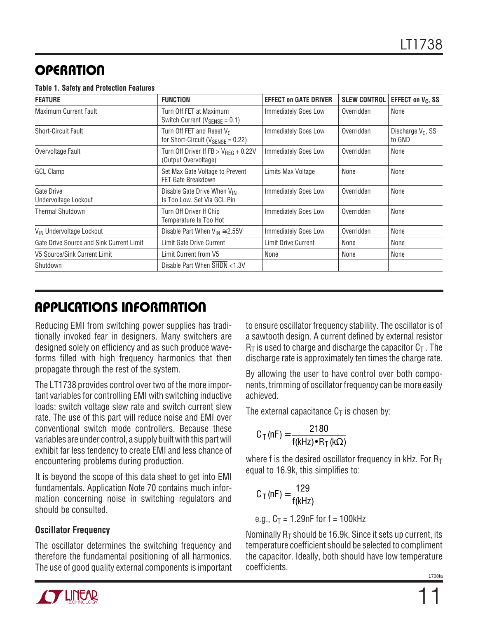# **OPERATION**

|  | <b>Table 1. Safety and Protection Features</b> |  |
|--|------------------------------------------------|--|
|  |                                                |  |

| <b>FEATURE</b>                           | <b>FUNCTION</b>                                                                          | <b>EFFECT on GATE DRIVER</b> | <b>SLEW CONTROL</b> | EFFECT on V <sub>C</sub> , SS           |
|------------------------------------------|------------------------------------------------------------------------------------------|------------------------------|---------------------|-----------------------------------------|
| <b>Maximum Current Fault</b>             | Turn Off FET at Maximum<br>Switch Current ( $V_{\text{SENSE}} = 0.1$ )                   | <b>Immediately Goes Low</b>  | Overridden          | None                                    |
| <b>Short-Circuit Fault</b>               | Turn Off FET and Reset V <sub>C</sub><br>for Short-Circuit ( $V_{\text{SENSE}} = 0.22$ ) | <b>Immediately Goes Low</b>  | Overridden          | Discharge V <sub>C</sub> , SS<br>to GND |
| Overvoltage Fault                        | Turn Off Driver If $FB > V_{RFG} + 0.22V$<br>(Output Overvoltage)                        | <b>Immediately Goes Low</b>  | Overridden          | None                                    |
| <b>GCL Clamp</b>                         | Set Max Gate Voltage to Prevent<br>FET Gate Breakdown                                    | Limits Max Voltage           | None                | None                                    |
| Gate Drive<br>Undervoltage Lockout       | Disable Gate Drive When V <sub>IN</sub><br>Is Too Low. Set Via GCL Pin                   | Immediately Goes Low         | Overridden          | None                                    |
| <b>Thermal Shutdown</b>                  | Turn Off Driver If Chip<br>Temperature Is Too Hot                                        | Immediately Goes Low         | Overridden          | None                                    |
| V <sub>IN</sub> Undervoltage Lockout     | Disable Part When $V_{IN} \approx 2.55V$                                                 | <b>Immediately Goes Low</b>  | Overridden          | None                                    |
| Gate Drive Source and Sink Current Limit | Limit Gate Drive Current                                                                 | Limit Drive Current          | None                | None                                    |
| V5 Source/Sink Current Limit             | Limit Current from V5                                                                    | None                         | None                | None                                    |
| Shutdown                                 | Disable Part When SHDN <1.3V                                                             |                              |                     |                                         |

# **APPLICATIONS INFORMATION**

Reducing EMI from switching power supplies has traditionally invoked fear in designers. Many switchers are designed solely on efficiency and as such produce waveforms filled with high frequency harmonics that then propagate through the rest of the system.

The LT1738 provides control over two of the more important variables for controlling EMI with switching inductive loads: switch voltage slew rate and switch current slew rate. The use of this part will reduce noise and EMI over conventional switch mode controllers. Because these variables are under control, a supply built with this part will exhibit far less tendency to create EMI and less chance of encountering problems during production.

It is beyond the scope of this data sheet to get into EMI fundamentals. Application Note 70 contains much information concerning noise in switching regulators and should be consulted.

#### **Oscillator Frequency**

The oscillator determines the switching frequency and therefore the fundamental positioning of all harmonics. The use of good quality external components is important to ensure oscillator frequency stability. The oscillator is of a sawtooth design. A current defined by external resistor  $R_T$  is used to charge and discharge the capacitor  $C_T$ . The discharge rate is approximately ten times the charge rate.

By allowing the user to have control over both components, trimming of oscillator frequency can be more easily achieved.

The external capacitance  $C_T$  is chosen by:

$$
C_{T}(nF) = \frac{2180}{f(kHz) \cdot R_{T}(k\Omega)}
$$

where f is the desired oscillator frequency in kHz. For  $R_T$ equal to 16.9k, this simplifies to:

$$
C_{T}(nF) = \frac{129}{f(kHz)}
$$

e.g., 
$$
C_T = 1.29nF
$$
 for  $f = 100kHz$ 

Nominally  $R_T$  should be 16.9k. Since it sets up current, its temperature coefficient should be selected to compliment the capacitor. Ideally, both should have low temperature coefficients.

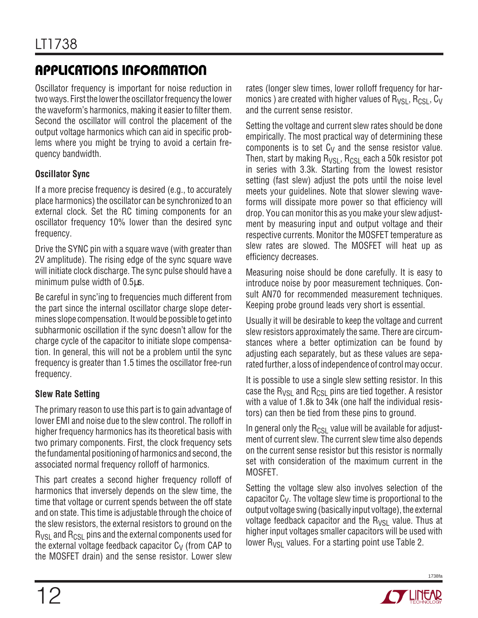Oscillator frequency is important for noise reduction in two ways. First the lower the oscillator frequency the lower the waveform's harmonics, making it easier to filter them. Second the oscillator will control the placement of the output voltage harmonics which can aid in specific problems where you might be trying to avoid a certain frequency bandwidth.

#### **Oscillator Sync**

If a more precise frequency is desired (e.g., to accurately place harmonics) the oscillator can be synchronized to an external clock. Set the RC timing components for an oscillator frequency 10% lower than the desired sync frequency.

Drive the SYNC pin with a square wave (with greater than 2V amplitude). The rising edge of the sync square wave will initiate clock discharge. The sync pulse should have a minimum pulse width of 0.5 $\mu$ s.

Be careful in sync'ing to frequencies much different from the part since the internal oscillator charge slope determines slope compensation. It would be possible to get into subharmonic oscillation if the sync doesn't allow for the charge cycle of the capacitor to initiate slope compensation. In general, this will not be a problem until the sync frequency is greater than 1.5 times the oscillator free-run frequency.

#### **Slew Rate Setting**

The primary reason to use this part is to gain advantage of lower EMI and noise due to the slew control. The rolloff in higher frequency harmonics has its theoretical basis with two primary components. First, the clock frequency sets the fundamental positioning of harmonics and second, the associated normal frequency rolloff of harmonics.

This part creates a second higher frequency rolloff of harmonics that inversely depends on the slew time, the time that voltage or current spends between the off state and on state. This time is adjustable through the choice of the slew resistors, the external resistors to ground on the  $R_{VSI}$  and  $R_{CSI}$  pins and the external components used for the external voltage feedback capacitor  $C_V$  (from CAP to the MOSFET drain) and the sense resistor. Lower slew

rates (longer slew times, lower rolloff frequency for harmonics) are created with higher values of  $R_{VSI}$ ,  $R_{CSI}$ ,  $C_V$ and the current sense resistor.

Setting the voltage and current slew rates should be done empirically. The most practical way of determining these components is to set  $C_V$  and the sense resistor value. Then, start by making  $R_{VSL}$ ,  $R_{CSL}$  each a 50k resistor pot in series with 3.3k. Starting from the lowest resistor setting (fast slew) adjust the pots until the noise level meets your guidelines. Note that slower slewing waveforms will dissipate more power so that efficiency will drop. You can monitor this as you make your slew adjustment by measuring input and output voltage and their respective currents. Monitor the MOSFET temperature as slew rates are slowed. The MOSFET will heat up as efficiency decreases.

Measuring noise should be done carefully. It is easy to introduce noise by poor measurement techniques. Consult AN70 for recommended measurement techniques. Keeping probe ground leads very short is essential.

Usually it will be desirable to keep the voltage and current slew resistors approximately the same. There are circumstances where a better optimization can be found by adjusting each separately, but as these values are separated further, a loss of independence of control may occur.

It is possible to use a single slew setting resistor. In this case the  $R_{VSL}$  and  $R_{CSL}$  pins are tied together. A resistor with a value of 1.8k to 34k (one half the individual resistors) can then be tied from these pins to ground.

In general only the  $R_{CSI}$  value will be available for adjustment of current slew. The current slew time also depends on the current sense resistor but this resistor is normally set with consideration of the maximum current in the MOSFET.

Setting the voltage slew also involves selection of the capacitor  $C_V$ . The voltage slew time is proportional to the output voltage swing (basically input voltage), the external voltage feedback capacitor and the  $R_{VSI}$  value. Thus at higher input voltages smaller capacitors will be used with lower  $R_{VSL}$  values. For a starting point use Table 2.



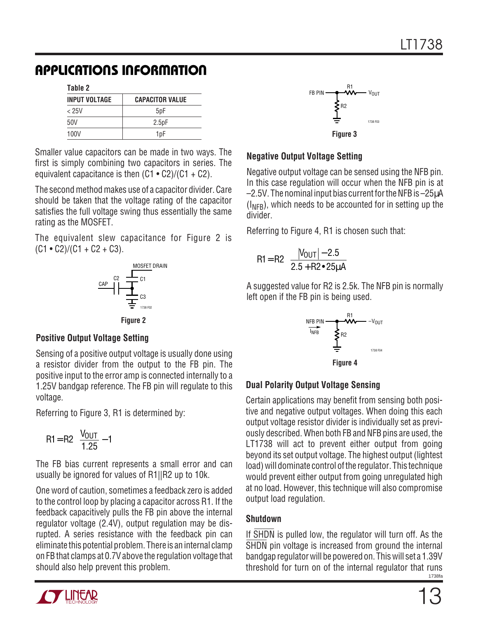**Table 2**

| <b>INPUT VOLTAGE</b> | <b>CAPACITOR VALUE</b> |
|----------------------|------------------------|
| < 25V                | 5pF                    |
| 50V                  | 2.5pF                  |
| 100V                 | 1pF                    |

Smaller value capacitors can be made in two ways. The first is simply combining two capacitors in series. The equivalent capacitance is then  $(C1 \cdot C2)/(C1 + C2)$ .

The second method makes use of a capacitor divider. Care should be taken that the voltage rating of the capacitor satisfies the full voltage swing thus essentially the same rating as the MOSFET.

The equivalent slew capacitance for Figure 2 is  $(C1 \cdot C2)/(C1 + C2 + C3)$ .



#### **Positive Output Voltage Setting**

Sensing of a positive output voltage is usually done using a resistor divider from the output to the FB pin. The positive input to the error amp is connected internally to a 1.25V bandgap reference. The FB pin will regulate to this voltage.

Referring to Figure 3, R1 is determined by:

$$
R1 = R2 \left( \frac{V_{OUT}}{1.25} - 1 \right)
$$

The FB bias current represents a small error and can usually be ignored for values of R1||R2 up to 10k.

One word of caution, sometimes a feedback zero is added to the control loop by placing a capacitor across R1. If the feedback capacitively pulls the FB pin above the internal regulator voltage (2.4V), output regulation may be disrupted. A series resistance with the feedback pin can eliminate this potential problem. There is an internal clamp on FB that clamps at 0.7V above the regulation voltage that should also help prevent this problem.



#### **Negative Output Voltage Setting**

Negative output voltage can be sensed using the NFB pin. In this case regulation will occur when the NFB pin is at –2.5V. The nominal input bias current for the NFB is –25µA  $(I<sub>NER</sub>)$ , which needs to be accounted for in setting up the divider.

Referring to Figure 4, R1 is chosen such that:

$$
R1 = R2 \left( \frac{|V_{OUT}| - 2.5}{2.5 + R2 \cdot 25 \mu A} \right)
$$

A suggested value for R2 is 2.5k. The NFB pin is normally left open if the FB pin is being used.



#### **Dual Polarity Output Voltage Sensing**

Certain applications may benefit from sensing both positive and negative output voltages. When doing this each output voltage resistor divider is individually set as previously described. When both FB and NFB pins are used, the LT1738 will act to prevent either output from going beyond its set output voltage. The highest output (lightest load) will dominate control of the regulator. This technique would prevent either output from going unregulated high at no load. However, this technique will also compromise output load regulation.

#### **Shutdown**

 1738fa If SHDN is pulled low, the regulator will turn off. As the SHDN pin voltage is increased from ground the internal bandgap regulator will be powered on. This will set a 1.39V threshold for turn on of the internal regulator that runs

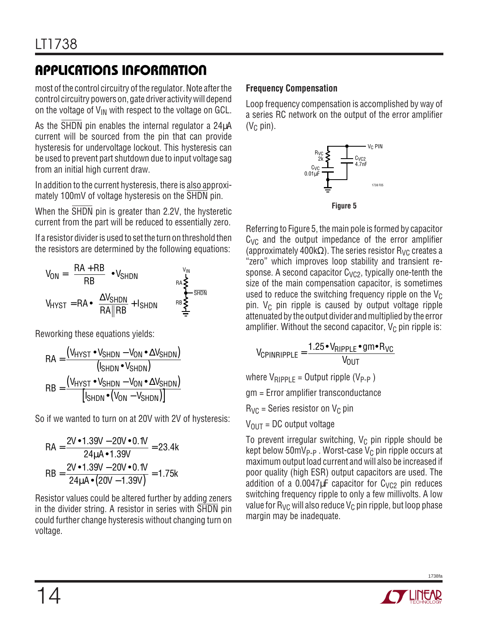most of the control circuitry of the regulator. Note after the control circuitry powers on, gate driver activity will depend on the voltage of  $V_{IN}$  with respect to the voltage on GCL.

As the SHDN pin enables the internal regulator a 24µA current will be sourced from the pin that can provide hysteresis for undervoltage lockout. This hysteresis can be used to prevent part shutdown due to input voltage sag from an initial high current draw.

In addition to the current hysteresis, there is also approximately 100mV of voltage hysteresis on the SHDN pin.

When the  $\overline{\text{SHDN}}$  pin is greater than 2.2V, the hysteretic current from the part will be reduced to essentially zero.

If a resistor divider is used to set the turn on threshold then the resistors are determined by the following equations:

$$
V_{ON} = \left(\frac{RA + RB}{RB}\right) \cdot V_{SHDN}
$$
\n
$$
V_{HYST} = RA \cdot \left(\frac{\Delta V_{SHDN}}{RA \| RB} + I_{SHDN}\right) \qquad \overset{V_{IN}}{RB} \leq \frac{SE}{HDN}
$$

Reworking these equations yields:

$$
RA = \frac{(V_{H YST} \cdot V_{SHDN} - V_{ON} \cdot \Delta V_{SHDN})}{(I_{SHDN} \cdot V_{SHDN})}
$$

$$
RB = \frac{(V_{H YST} \cdot V_{SHDN} - V_{ON} \cdot \Delta V_{SHDN})}{[I_{SHDN} \cdot (V_{ON} - V_{SHDN})]}
$$

So if we wanted to turn on at 20V with 2V of hysteresis:

$$
RA = \frac{2V \cdot 1.39V - 20V \cdot 0.1V}{24\mu A \cdot 1.39V} = 23.4k
$$

$$
RB = \frac{2V \cdot 1.39V - 20V \cdot 0.1V}{24\mu A \cdot (20V - 1.39V)} = 1.75k
$$

Resistor values could be altered further by adding zeners in the divider string. A resistor in series with SHDN pin could further change hysteresis without changing turn on voltage.

#### **Frequency Compensation**

Loop frequency compensation is accomplished by way of a series RC network on the output of the error amplifier  $(V<sub>C</sub>$  pin).



Referring to Figure 5, the main pole is formed by capacitor  $C_{VC}$  and the output impedance of the error amplifier (approximately 400k $\Omega$ ). The series resistor R<sub>VC</sub> creates a "zero" which improves loop stability and transient response. A second capacitor  $C_{VCD}$ , typically one-tenth the size of the main compensation capacitor, is sometimes used to reduce the switching frequency ripple on the  $V_C$ pin.  $V_C$  pin ripple is caused by output voltage ripple attenuated by the output divider and multiplied by the error amplifier. Without the second capacitor,  $V_C$  pin ripple is:

$$
V_{CPINRIPPLE} = \frac{1.25 \cdot V_{RIPPLE} \cdot gm \cdot R_{VC}}{V_{OUT}}
$$

where  $V_{\text{RIPPI F}} =$  Output ripple (V<sub>P-P</sub>)

gm = Error amplifier transconductance

 $R_{VC}$  = Series resistor on  $V_C$  pin

 $V_{OUT} = DC$  output voltage

To prevent irregular switching,  $V_C$  pin ripple should be kept below 50mV<sub>P-P</sub>. Worst-case V<sub>C</sub> pin ripple occurs at maximum output load current and will also be increased if poor quality (high ESR) output capacitors are used. The addition of a 0.0047 $\mu$ F capacitor for C<sub>VC2</sub> pin reduces switching frequency ripple to only a few millivolts. A low value for  $R_{VC}$  will also reduce  $V_C$  pin ripple, but loop phase margin may be inadequate.

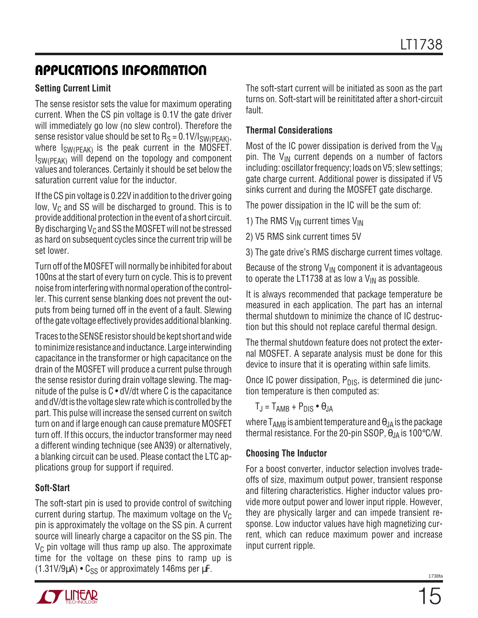#### **Setting Current Limit**

The sense resistor sets the value for maximum operating current. When the CS pin voltage is 0.1V the gate driver will immediately go low (no slew control). Therefore the sense resistor value should be set to  $R<sub>S</sub> = 0.1 V/I<sub>SW(PFAK)</sub>$ , where  $I_{SW(PEAK)}$  is the peak current in the MOSFET. I<sub>SW(PEAK)</sub> will depend on the topology and component values and tolerances. Certainly it should be set below the saturation current value for the inductor.

If the CS pin voltage is 0.22V in addition to the driver going low,  $V_C$  and SS will be discharged to ground. This is to provide additional protection in the event of a short circuit. By discharging  $V_C$  and SS the MOSFET will not be stressed as hard on subsequent cycles since the current trip will be set lower.

Turn off of the MOSFET will normally be inhibited for about 100ns at the start of every turn on cycle. This is to prevent noise from interfering with normal operation of the controller. This current sense blanking does not prevent the outputs from being turned off in the event of a fault. Slewing of the gate voltage effectively provides additional blanking.

Traces to the SENSE resistor should be kept short and wide to minimize resistance and inductance. Large interwinding capacitance in the transformer or high capacitance on the drain of the MOSFET will produce a current pulse through the sense resistor during drain voltage slewing. The magnitude of the pulse is C • dV/dt where C is the capacitance and dV/dt is the voltage slew rate which is controlled by the part. This pulse will increase the sensed current on switch turn on and if large enough can cause premature MOSFET turn off. If this occurs, the inductor transformer may need a different winding technique (see AN39) or alternatively, a blanking circuit can be used. Please contact the LTC applications group for support if required.

#### **Soft-Start**

The soft-start pin is used to provide control of switching current during startup. The maximum voltage on the  $V_C$ pin is approximately the voltage on the SS pin. A current source will linearly charge a capacitor on the SS pin. The  $V<sub>C</sub>$  pin voltage will thus ramp up also. The approximate time for the voltage on these pins to ramp up is  $(1.31V/9µ) \cdot C_{SS}$  or approximately 146ms per µF.

The soft-start current will be initiated as soon as the part turns on. Soft-start will be reinititated after a short-circuit fault.

#### **Thermal Considerations**

Most of the IC power dissipation is derived from the  $V_{\text{IN}}$ pin. The  $V_{IN}$  current depends on a number of factors including: oscillator frequency; loads on V5; slew settings; gate charge current. Additional power is dissipated if V5 sinks current and during the MOSFET gate discharge.

The power dissipation in the IC will be the sum of:

1) The RMS  $V_{IN}$  current times  $V_{IN}$ 

2) V5 RMS sink current times 5V

3) The gate drive's RMS discharge current times voltage.

Because of the strong  $V_{IN}$  component it is advantageous to operate the LT1738 at as low a  $V_{IN}$  as possible.

It is always recommended that package temperature be measured in each application. The part has an internal thermal shutdown to minimize the chance of IC destruction but this should not replace careful thermal design.

The thermal shutdown feature does not protect the external MOSFET. A separate analysis must be done for this device to insure that it is operating within safe limits.

Once IC power dissipation,  $P_{DIS}$ , is determined die junction temperature is then computed as:

$$
T_J = T_{AMB} + P_{DIS} \bullet \theta_{JA}
$$

where  $T_{\mathsf{AMB}}$  is ambient temperature and  $\Theta_{\mathsf{JA}}$  is the package thermal resistance. For the 20-pin SSOP,  $\theta_{JA}$  is 100 $\degree$ C/W.

#### **Choosing The Inductor**

For a boost converter, inductor selection involves tradeoffs of size, maximum output power, transient response and filtering characteristics. Higher inductor values provide more output power and lower input ripple. However, they are physically larger and can impede transient response. Low inductor values have high magnetizing current, which can reduce maximum power and increase input current ripple.

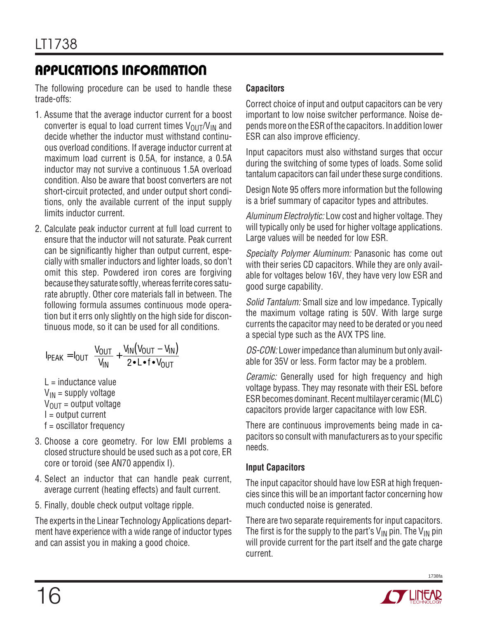The following procedure can be used to handle these trade-offs:

- 1. Assume that the average inductor current for a boost converter is equal to load current times  $V_{\text{OUT}}/V_{\text{IN}}$  and decide whether the inductor must withstand continuous overload conditions. If average inductor current at maximum load current is 0.5A, for instance, a 0.5A inductor may not survive a continuous 1.5A overload condition. Also be aware that boost converters are not short-circuit protected, and under output short conditions, only the available current of the input supply limits inductor current.
- 2. Calculate peak inductor current at full load current to ensure that the inductor will not saturate. Peak current can be significantly higher than output current, especially with smaller inductors and lighter loads, so don't omit this step. Powdered iron cores are forgiving because they saturate softly, whereas ferrite cores saturate abruptly. Other core materials fall in between. The following formula assumes continuous mode operation but it errs only slightly on the high side for discontinuous mode, so it can be used for all conditions.

$$
I_{PEAK} = I_{OUT} \left( \frac{V_{OUT}}{V_{IN}} + \frac{V_{IN}(V_{OUT} - V_{IN})}{2 \cdot L \cdot f \cdot V_{OUT}} \right)
$$

 $L =$ inductance value

 $V_{IN}$  = supply voltage

 $V_{OIII}$  = output voltage

 $I =$  output current

f = oscillator frequency

- 3. Choose a core geometry. For low EMI problems a closed structure should be used such as a pot core, ER core or toroid (see AN70 appendix I).
- 4. Select an inductor that can handle peak current, average current (heating effects) and fault current.
- 5. Finally, double check output voltage ripple.

The experts in the Linear Technology Applications department have experience with a wide range of inductor types and can assist you in making a good choice.

#### **Capacitors**

Correct choice of input and output capacitors can be very important to low noise switcher performance. Noise depends more on the ESR of the capacitors. In addition lower ESR can also improve efficiency.

Input capacitors must also withstand surges that occur during the switching of some types of loads. Some solid tantalum capacitors can fail under these surge conditions.

Design Note 95 offers more information but the following is a brief summary of capacitor types and attributes.

Aluminum Electrolytic: Low cost and higher voltage. They will typically only be used for higher voltage applications. Large values will be needed for low ESR.

Specialty Polymer Aluminum: Panasonic has come out with their series CD capacitors. While they are only available for voltages below 16V, they have very low ESR and good surge capability.

Solid Tantalum: Small size and low impedance. Typically the maximum voltage rating is 50V. With large surge currents the capacitor may need to be derated or you need a special type such as the AVX TPS line.

OS-CON: Lower impedance than aluminum but only available for 35V or less. Form factor may be a problem.

Ceramic: Generally used for high frequency and high voltage bypass. They may resonate with their ESL before ESR becomes dominant. Recent multilayer ceramic (MLC) capacitors provide larger capacitance with low ESR.

There are continuous improvements being made in capacitors so consult with manufacturers as to your specific needs.

#### **Input Capacitors**

The input capacitor should have low ESR at high frequencies since this will be an important factor concerning how much conducted noise is generated.

There are two separate requirements for input capacitors. The first is for the supply to the part's  $V_{IN}$  pin. The  $V_{IN}$  pin will provide current for the part itself and the gate charge current.

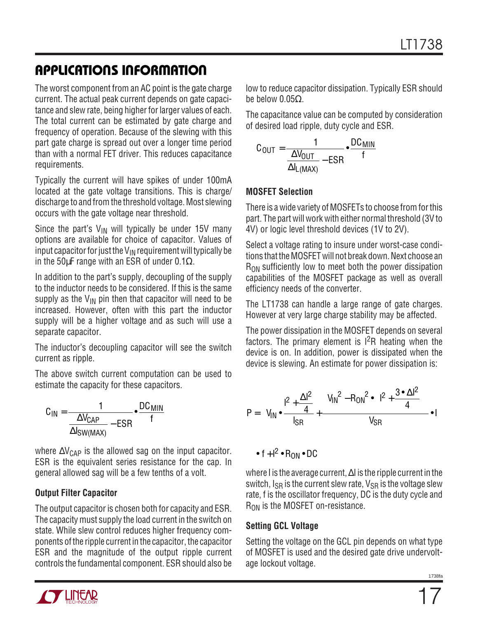The worst component from an AC point is the gate charge current. The actual peak current depends on gate capacitance and slew rate, being higher for larger values of each. The total current can be estimated by gate charge and frequency of operation. Because of the slewing with this part gate charge is spread out over a longer time period than with a normal FET driver. This reduces capacitance requirements.

Typically the current will have spikes of under 100mA located at the gate voltage transitions. This is charge/ discharge to and from the threshold voltage. Most slewing occurs with the gate voltage near threshold.

Since the part's  $V_{IN}$  will typically be under 15V many options are available for choice of capacitor. Values of input capacitor for just the  $V_{IN}$  requirement will typically be in the 50 $\mu$ F range with an ESR of under 0.1 $\Omega$ .

In addition to the part's supply, decoupling of the supply to the inductor needs to be considered. If this is the same supply as the  $V_{IN}$  pin then that capacitor will need to be increased. However, often with this part the inductor supply will be a higher voltage and as such will use a separate capacitor.

The inductor's decoupling capacitor will see the switch current as ripple.

The above switch current computation can be used to estimate the capacity for these capacitors.

$$
C_{IN} = \frac{1}{\frac{\Delta V_{CAP}}{\Delta I_{SW(MAX)}} - ESR} \cdot \frac{DC_{MIN}}{f}
$$

where  $\Delta V_{\text{CAP}}$  is the allowed sag on the input capacitor. ESR is the equivalent series resistance for the cap. In general allowed sag will be a few tenths of a volt.

#### **Output Filter Capacitor**

The output capacitor is chosen both for capacity and ESR. The capacity must supply the load current in the switch on state. While slew control reduces higher frequency components of the ripple current in the capacitor, the capacitor ESR and the magnitude of the output ripple current controls the fundamental component. ESR should also be

low to reduce capacitor dissipation. Typically ESR should be below  $0.05Ω$ .

The capacitance value can be computed by consideration of desired load ripple, duty cycle and ESR.

$$
C_{OUT} = \frac{1}{\frac{\Delta V_{OUT}}{\Delta I_{L(MAX)}} - ESR} \cdot \frac{DC_{MIN}}{f}
$$

#### **MOSFET Selection**

There is a wide variety of MOSFETs to choose from for this part. The part will work with either normal threshold (3V to 4V) or logic level threshold devices (1V to 2V).

Select a voltage rating to insure under worst-case conditions that the MOSFET will not break down. Next choose an  $R_{OM}$  sufficiently low to meet both the power dissipation capabilities of the MOSFET package as well as overall efficiency needs of the converter.

The LT1738 can handle a large range of gate charges. However at very large charge stability may be affected.

The power dissipation in the MOSFET depends on several factors. The primary element is  $1^2R$  heating when the device is on. In addition, power is dissipated when the device is slewing. An estimate for power dissipation is:



where I is the average current, ∆I is the ripple current in the switch,  $I_{\rm SR}$  is the current slew rate,  $V_{\rm SR}$  is the voltage slew rate, f is the oscillator frequency, DC is the duty cycle and  $R_{ON}$  is the MOSFET on-resistance.

### **Setting GCL Voltage**

Setting the voltage on the GCL pin depends on what type of MOSFET is used and the desired gate drive undervoltage lockout voltage.

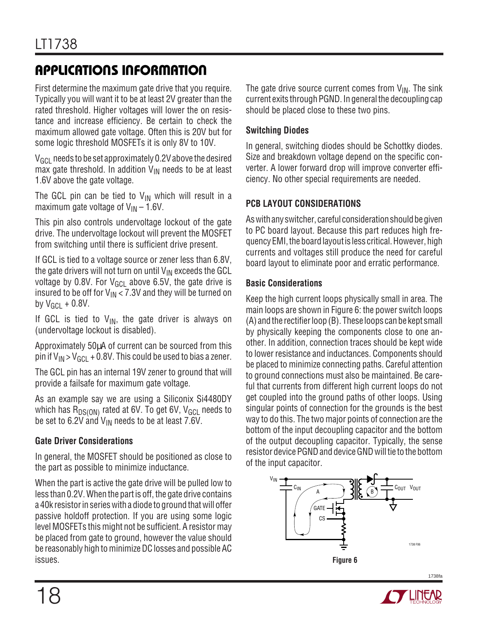First determine the maximum gate drive that you require. Typically you will want it to be at least 2V greater than the rated threshold. Higher voltages will lower the on resistance and increase efficiency. Be certain to check the maximum allowed gate voltage. Often this is 20V but for some logic threshold MOSFETs it is only 8V to 10V.

 $V_{\rm GCl}$  needs to be set approximately 0.2V above the desired max gate threshold. In addition  $V_{IN}$  needs to be at least 1.6V above the gate voltage.

The GCL pin can be tied to  $V_{IN}$  which will result in a maximum gate voltage of  $V_{IN}$  – 1.6V.

This pin also controls undervoltage lockout of the gate drive. The undervoltage lockout will prevent the MOSFET from switching until there is sufficient drive present.

If GCL is tied to a voltage source or zener less than 6.8V, the gate drivers will not turn on until  $V_{IN}$  exceeds the GCL voltage by 0.8V. For  $V_{GCL}$  above 6.5V, the gate drive is insured to be off for  $V_{IN} < 7.3V$  and they will be turned on by  $V_{GCl}$  + 0.8V.

If GCL is tied to  $V_{IN}$ , the gate driver is always on (undervoltage lockout is disabled).

Approximately 50µA of current can be sourced from this pin if  $V_{IN}$  >  $V_{GCI}$  + 0.8V. This could be used to bias a zener.

The GCL pin has an internal 19V zener to ground that will provide a failsafe for maximum gate voltage.

As an example say we are using a Siliconix Si4480DY which has  $R_{DS(ON)}$  rated at 6V. To get 6V,  $V_{GCL}$  needs to be set to 6.2V and  $V_{IN}$  needs to be at least 7.6V.

#### **Gate Driver Considerations**

In general, the MOSFET should be positioned as close to the part as possible to minimize inductance.

When the part is active the gate drive will be pulled low to less than 0.2V. When the part is off, the gate drive contains a 40k resistor in series with a diode to ground that will offer passive holdoff protection. If you are using some logic level MOSFETs this might not be sufficient. A resistor may be placed from gate to ground, however the value should be reasonably high to minimize DC losses and possible AC issues.

The gate drive source current comes from  $V_{IN}$ . The sink current exits through PGND. In general the decoupling cap should be placed close to these two pins.

#### **Switching Diodes**

In general, switching diodes should be Schottky diodes. Size and breakdown voltage depend on the specific converter. A lower forward drop will improve converter efficiency. No other special requirements are needed.

#### **PCB LAYOUT CONSIDERATIONS**

As with any switcher, careful consideration should be given to PC board layout. Because this part reduces high frequency EMI, the board layout is less critical. However, high currents and voltages still produce the need for careful board layout to eliminate poor and erratic performance.

#### **Basic Considerations**

Keep the high current loops physically small in area. The main loops are shown in Figure 6: the power switch loops (A) and the rectifier loop (B). These loops can be kept small by physically keeping the components close to one another. In addition, connection traces should be kept wide to lower resistance and inductances. Components should be placed to minimize connecting paths. Careful attention to ground connections must also be maintained. Be careful that currents from different high current loops do not get coupled into the ground paths of other loops. Using singular points of connection for the grounds is the best way to do this. The two major points of connection are the bottom of the input decoupling capacitor and the bottom of the output decoupling capacitor. Typically, the sense resistor device PGND and device GND will tie to the bottom of the input capacitor.



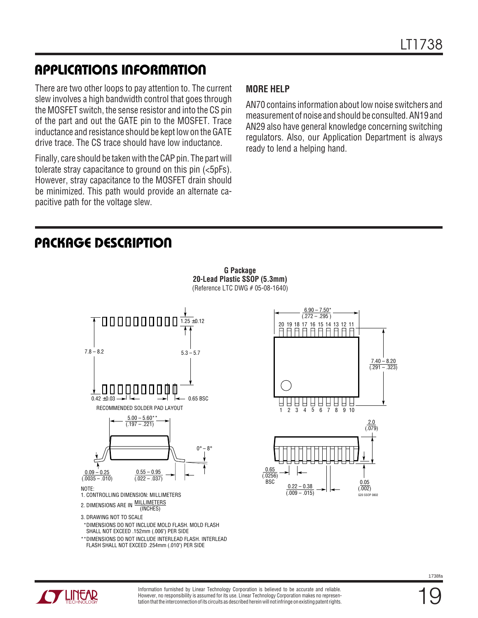There are two other loops to pay attention to. The current slew involves a high bandwidth control that goes through the MOSFET switch, the sense resistor and into the CS pin of the part and out the GATE pin to the MOSFET. Trace inductance and resistance should be kept low on the GATE drive trace. The CS trace should have low inductance.

Finally, care should be taken with the CAP pin. The part will tolerate stray capacitance to ground on this pin (<5pFs). However, stray capacitance to the MOSFET drain should be minimized. This path would provide an alternate capacitive path for the voltage slew.

#### **MORE HELP**

AN70 contains information about low noise switchers and measurement of noise and should be consulted. AN19 and AN29 also have general knowledge concerning switching regulators. Also, our Application Department is always ready to lend a helping hand.

7.40 – 8.20 (.291 – .323)

### **PACKAGE DESCRIPTION**



\*\*DIMENSIONS DO NOT INCLUDE INTERLEAD FLASH. INTERLEAD FLASH SHALL NOT EXCEED .254mm (.010") PER SIDE



19